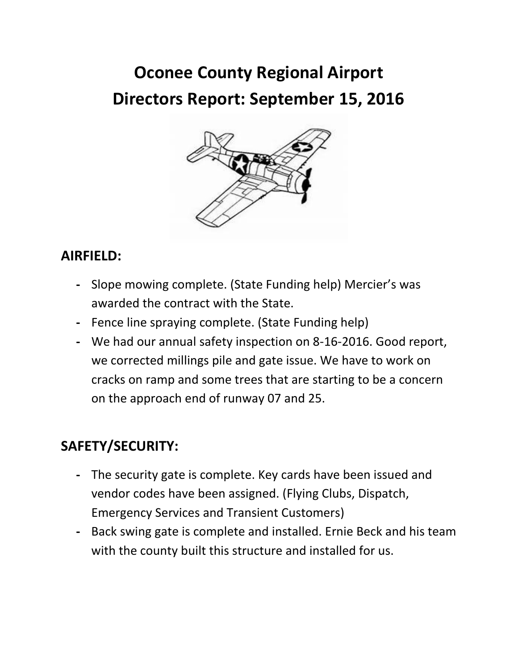# **Oconee County Regional Airport Directors Report: September 15, 2016**



# **AIRFIELD:**

- **-** Slope mowing complete. (State Funding help) Mercier's was awarded the contract with the State.
- **-** Fence line spraying complete. (State Funding help)
- **-** We had our annual safety inspection on 8-16-2016. Good report, we corrected millings pile and gate issue. We have to work on cracks on ramp and some trees that are starting to be a concern on the approach end of runway 07 and 25.

# **SAFETY/SECURITY:**

- **-** The security gate is complete. Key cards have been issued and vendor codes have been assigned. (Flying Clubs, Dispatch, Emergency Services and Transient Customers)
- **-** Back swing gate is complete and installed. Ernie Beck and his team with the county built this structure and installed for us.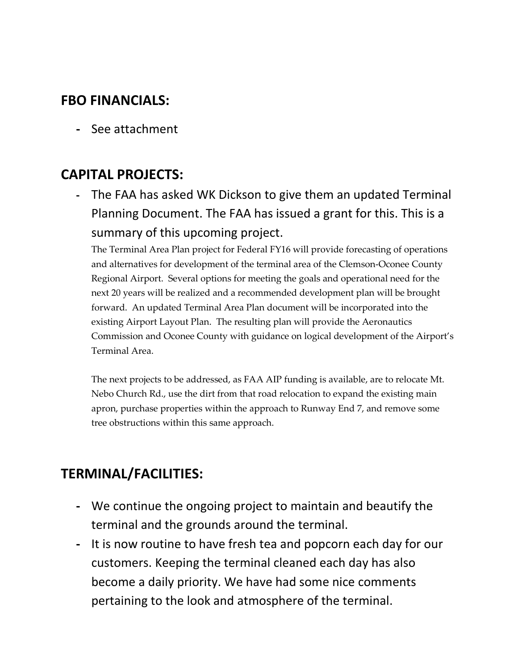### **FBO FINANCIALS:**

**-** See attachment

## **CAPITAL PROJECTS:**

**-** The FAA has asked WK Dickson to give them an updated Terminal Planning Document. The FAA has issued a grant for this. This is a summary of this upcoming project.

The Terminal Area Plan project for Federal FY16 will provide forecasting of operations and alternatives for development of the terminal area of the Clemson-Oconee County Regional Airport. Several options for meeting the goals and operational need for the next 20 years will be realized and a recommended development plan will be brought forward. An updated Terminal Area Plan document will be incorporated into the existing Airport Layout Plan. The resulting plan will provide the Aeronautics Commission and Oconee County with guidance on logical development of the Airport's Terminal Area.

The next projects to be addressed, as FAA AIP funding is available, are to relocate Mt. Nebo Church Rd., use the dirt from that road relocation to expand the existing main apron, purchase properties within the approach to Runway End 7, and remove some tree obstructions within this same approach.

# **TERMINAL/FACILITIES:**

- **-** We continue the ongoing project to maintain and beautify the terminal and the grounds around the terminal.
- **-** It is now routine to have fresh tea and popcorn each day for our customers. Keeping the terminal cleaned each day has also become a daily priority. We have had some nice comments pertaining to the look and atmosphere of the terminal.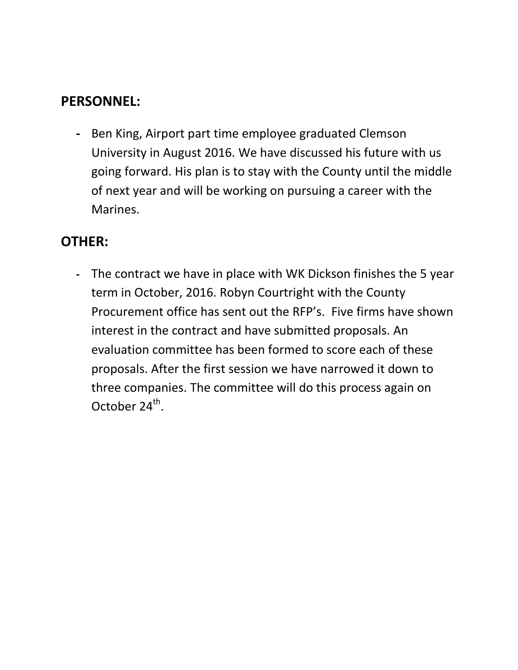### **PERSONNEL:**

**-** Ben King, Airport part time employee graduated Clemson University in August 2016. We have discussed his future with us going forward. His plan is to stay with the County until the middle of next year and will be working on pursuing a career with the Marines.

# **OTHER:**

**-** The contract we have in place with WK Dickson finishes the 5 year term in October, 2016. Robyn Courtright with the County Procurement office has sent out the RFP's. Five firms have shown interest in the contract and have submitted proposals. An evaluation committee has been formed to score each of these proposals. After the first session we have narrowed it down to three companies. The committee will do this process again on October  $24^{th}$ .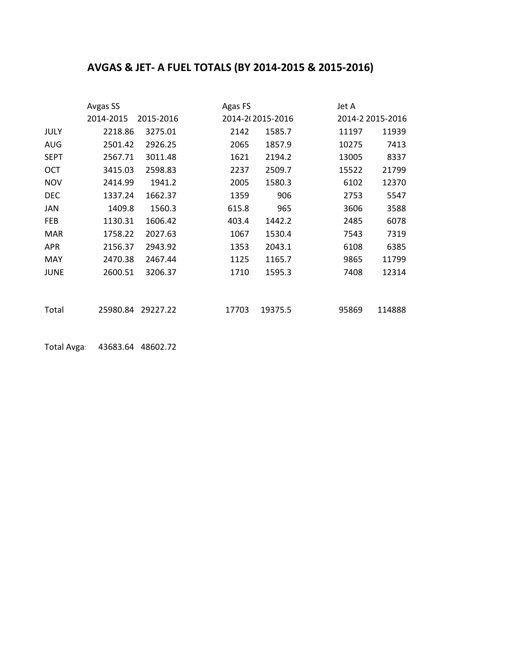### **AVGAS & JET- A FUEL TOTALS (BY 2014-2015 & 2015-2016)**

|             | Avgas SS  |           | Agas FS |                  | Jet A |                  |
|-------------|-----------|-----------|---------|------------------|-------|------------------|
|             | 2014-2015 | 2015-2016 |         | 2014-202015-2016 |       | 2014-2 2015-2016 |
| JULY        | 2218.86   | 3275.01   | 2142    | 1585.7           | 11197 | 11939            |
| <b>AUG</b>  | 2501.42   | 2926.25   | 2065    | 1857.9           | 10275 | 7413             |
| <b>SEPT</b> | 2567.71   | 3011.48   | 1621    | 2194.2           | 13005 | 8337             |
| OCT         | 3415.03   | 2598.83   | 2237    | 2509.7           | 15522 | 21799            |
| <b>NOV</b>  | 2414.99   | 1941.2    | 2005    | 1580.3           | 6102  | 12370            |
| <b>DEC</b>  | 1337.24   | 1662.37   | 1359    | 906              | 2753  | 5547             |
| JAN         | 1409.8    | 1560.3    | 615.8   | 965              | 3606  | 3588             |
| <b>FEB</b>  | 1130.31   | 1606.42   | 403.4   | 1442.2           | 2485  | 6078             |
| <b>MAR</b>  | 1758.22   | 2027.63   | 1067    | 1530.4           | 7543  | 7319             |
| <b>APR</b>  | 2156.37   | 2943.92   | 1353    | 2043.1           | 6108  | 6385             |
| MAY         | 2470.38   | 2467.44   | 1125    | 1165.7           | 9865  | 11799            |
| JUNE        | 2600.51   | 3206.37   | 1710    | 1595.3           | 7408  | 12314            |
|             |           |           |         |                  |       |                  |
|             |           |           |         |                  |       |                  |
| Total       | 25980.84  | 29227.22  | 17703   | 19375.5          | 95869 | 114888           |

Total Avga: 43683.64 48602.72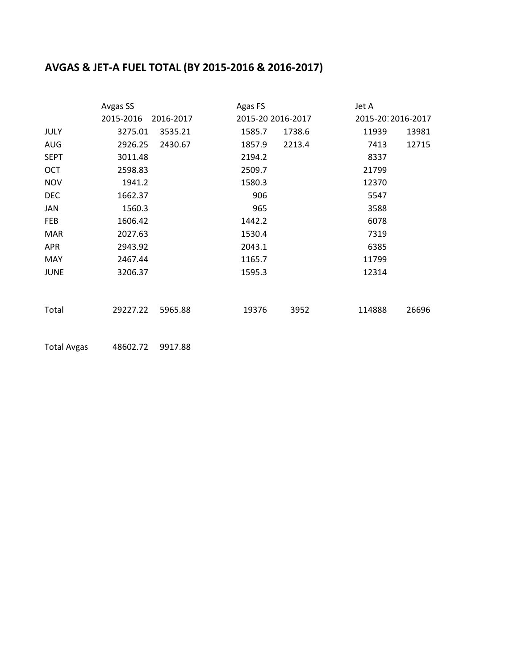### **AVGAS & JET-A FUEL TOTAL (BY 2015-2016 & 2016-2017)**

|             | Avgas SS  |           | Agas FS |                   | Jet A  |                   |
|-------------|-----------|-----------|---------|-------------------|--------|-------------------|
|             | 2015-2016 | 2016-2017 |         | 2015-20 2016-2017 |        | 2015-2012016-2017 |
| JULY        | 3275.01   | 3535.21   | 1585.7  | 1738.6            | 11939  | 13981             |
| AUG         | 2926.25   | 2430.67   | 1857.9  | 2213.4            | 7413   | 12715             |
| <b>SEPT</b> | 3011.48   |           | 2194.2  |                   | 8337   |                   |
| OCT         | 2598.83   |           | 2509.7  |                   | 21799  |                   |
| <b>NOV</b>  | 1941.2    |           | 1580.3  |                   | 12370  |                   |
| <b>DEC</b>  | 1662.37   |           | 906     |                   | 5547   |                   |
| JAN         | 1560.3    |           | 965     |                   | 3588   |                   |
| FEB         | 1606.42   |           | 1442.2  |                   | 6078   |                   |
| <b>MAR</b>  | 2027.63   |           | 1530.4  |                   | 7319   |                   |
| <b>APR</b>  | 2943.92   |           | 2043.1  |                   | 6385   |                   |
| MAY         | 2467.44   |           | 1165.7  |                   | 11799  |                   |
| <b>JUNE</b> | 3206.37   |           | 1595.3  |                   | 12314  |                   |
|             |           |           |         |                   |        |                   |
| Total       | 29227.22  | 5965.88   | 19376   | 3952              | 114888 | 26696             |
|             |           |           |         |                   |        |                   |

Total Avgas 48602.72 9917.88